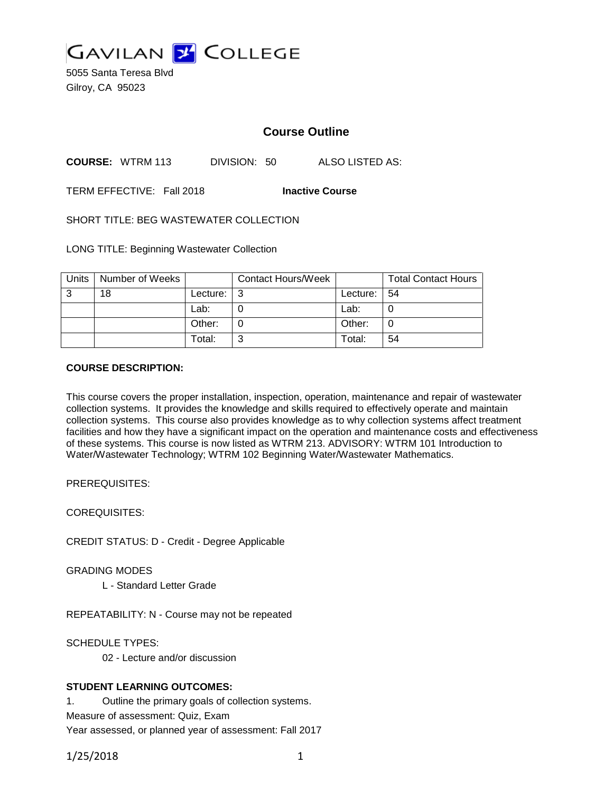

5055 Santa Teresa Blvd Gilroy, CA 95023

# **Course Outline**

**COURSE:** WTRM 113 DIVISION: 50 ALSO LISTED AS:

TERM EFFECTIVE: Fall 2018 **Inactive Course**

SHORT TITLE: BEG WASTEWATER COLLECTION

LONG TITLE: Beginning Wastewater Collection

| Units | Number of Weeks |          | <b>Contact Hours/Week</b> |               | <b>Total Contact Hours</b> |
|-------|-----------------|----------|---------------------------|---------------|----------------------------|
| 3     | 18              | Lecture: | l 3                       | Lecture:   54 |                            |
|       |                 | Lab:     |                           | Lab:          |                            |
|       |                 | Other:   |                           | Other:        |                            |
|       |                 | Total:   | ⌒                         | Total:        | 54                         |

#### **COURSE DESCRIPTION:**

This course covers the proper installation, inspection, operation, maintenance and repair of wastewater collection systems. It provides the knowledge and skills required to effectively operate and maintain collection systems. This course also provides knowledge as to why collection systems affect treatment facilities and how they have a significant impact on the operation and maintenance costs and effectiveness of these systems. This course is now listed as WTRM 213. ADVISORY: WTRM 101 Introduction to Water/Wastewater Technology; WTRM 102 Beginning Water/Wastewater Mathematics.

PREREQUISITES:

COREQUISITES:

CREDIT STATUS: D - Credit - Degree Applicable

GRADING MODES

L - Standard Letter Grade

REPEATABILITY: N - Course may not be repeated

SCHEDULE TYPES:

02 - Lecture and/or discussion

### **STUDENT LEARNING OUTCOMES:**

1. Outline the primary goals of collection systems. Measure of assessment: Quiz, Exam Year assessed, or planned year of assessment: Fall 2017

1/25/2018 1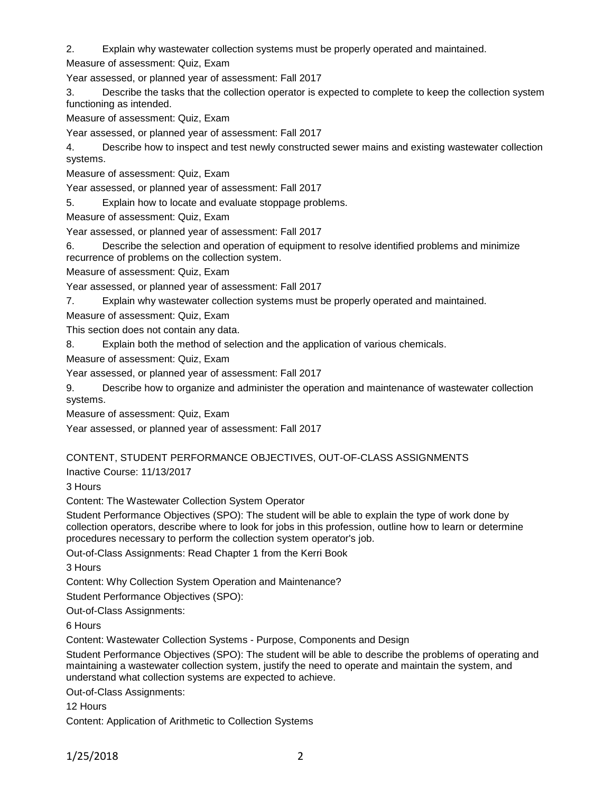2. Explain why wastewater collection systems must be properly operated and maintained.

Measure of assessment: Quiz, Exam

Year assessed, or planned year of assessment: Fall 2017

3. Describe the tasks that the collection operator is expected to complete to keep the collection system functioning as intended.

Measure of assessment: Quiz, Exam

Year assessed, or planned year of assessment: Fall 2017

4. Describe how to inspect and test newly constructed sewer mains and existing wastewater collection systems.

Measure of assessment: Quiz, Exam

Year assessed, or planned year of assessment: Fall 2017

5. Explain how to locate and evaluate stoppage problems.

Measure of assessment: Quiz, Exam

Year assessed, or planned year of assessment: Fall 2017

6. Describe the selection and operation of equipment to resolve identified problems and minimize recurrence of problems on the collection system.

Measure of assessment: Quiz, Exam

Year assessed, or planned year of assessment: Fall 2017

7. Explain why wastewater collection systems must be properly operated and maintained.

Measure of assessment: Quiz, Exam

This section does not contain any data.

8. Explain both the method of selection and the application of various chemicals.

Measure of assessment: Quiz, Exam

Year assessed, or planned year of assessment: Fall 2017

9. Describe how to organize and administer the operation and maintenance of wastewater collection systems.

Measure of assessment: Quiz, Exam

Year assessed, or planned year of assessment: Fall 2017

## CONTENT, STUDENT PERFORMANCE OBJECTIVES, OUT-OF-CLASS ASSIGNMENTS

Inactive Course: 11/13/2017

3 Hours

Content: The Wastewater Collection System Operator

Student Performance Objectives (SPO): The student will be able to explain the type of work done by collection operators, describe where to look for jobs in this profession, outline how to learn or determine procedures necessary to perform the collection system operator's job.

Out-of-Class Assignments: Read Chapter 1 from the Kerri Book

3 Hours

Content: Why Collection System Operation and Maintenance?

Student Performance Objectives (SPO):

Out-of-Class Assignments:

6 Hours

Content: Wastewater Collection Systems - Purpose, Components and Design

Student Performance Objectives (SPO): The student will be able to describe the problems of operating and maintaining a wastewater collection system, justify the need to operate and maintain the system, and understand what collection systems are expected to achieve.

Out-of-Class Assignments:

12 Hours

Content: Application of Arithmetic to Collection Systems

1/25/2018 2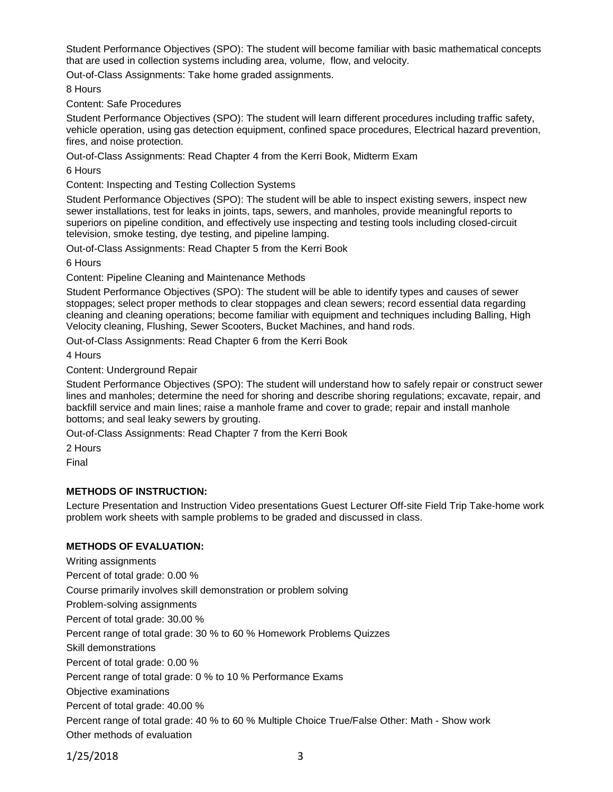Student Performance Objectives (SPO): The student will become familiar with basic mathematical concepts that are used in collection systems including area, volume, flow, and velocity.

Out-of-Class Assignments: Take home graded assignments.

8 Hours

Content: Safe Procedures

Student Performance Objectives (SPO): The student will learn different procedures including traffic safety, vehicle operation, using gas detection equipment, confined space procedures, Electrical hazard prevention, fires, and noise protection.

Out-of-Class Assignments: Read Chapter 4 from the Kerri Book, Midterm Exam

6 Hours

Content: Inspecting and Testing Collection Systems

Student Performance Objectives (SPO): The student will be able to inspect existing sewers, inspect new sewer installations, test for leaks in joints, taps, sewers, and manholes, provide meaningful reports to superiors on pipeline condition, and effectively use inspecting and testing tools including closed-circuit television, smoke testing, dye testing, and pipeline lamping.

Out-of-Class Assignments: Read Chapter 5 from the Kerri Book

6 Hours

Content: Pipeline Cleaning and Maintenance Methods

Student Performance Objectives (SPO): The student will be able to identify types and causes of sewer stoppages; select proper methods to clear stoppages and clean sewers; record essential data regarding cleaning and cleaning operations; become familiar with equipment and techniques including Balling, High Velocity cleaning, Flushing, Sewer Scooters, Bucket Machines, and hand rods.

Out-of-Class Assignments: Read Chapter 6 from the Kerri Book

4 Hours

Content: Underground Repair

Student Performance Objectives (SPO): The student will understand how to safely repair or construct sewer lines and manholes; determine the need for shoring and describe shoring regulations; excavate, repair, and backfill service and main lines; raise a manhole frame and cover to grade; repair and install manhole bottoms; and seal leaky sewers by grouting.

Out-of-Class Assignments: Read Chapter 7 from the Kerri Book

2 Hours

Final

### **METHODS OF INSTRUCTION:**

Lecture Presentation and Instruction Video presentations Guest Lecturer Off-site Field Trip Take-home work problem work sheets with sample problems to be graded and discussed in class.

### **METHODS OF EVALUATION:**

Writing assignments Percent of total grade: 0.00 % Course primarily involves skill demonstration or problem solving Problem-solving assignments Percent of total grade: 30.00 % Percent range of total grade: 30 % to 60 % Homework Problems Quizzes Skill demonstrations Percent of total grade: 0.00 % Percent range of total grade: 0 % to 10 % Performance Exams Objective examinations Percent of total grade: 40.00 % Percent range of total grade: 40 % to 60 % Multiple Choice True/False Other: Math - Show work Other methods of evaluation

1/25/2018 3